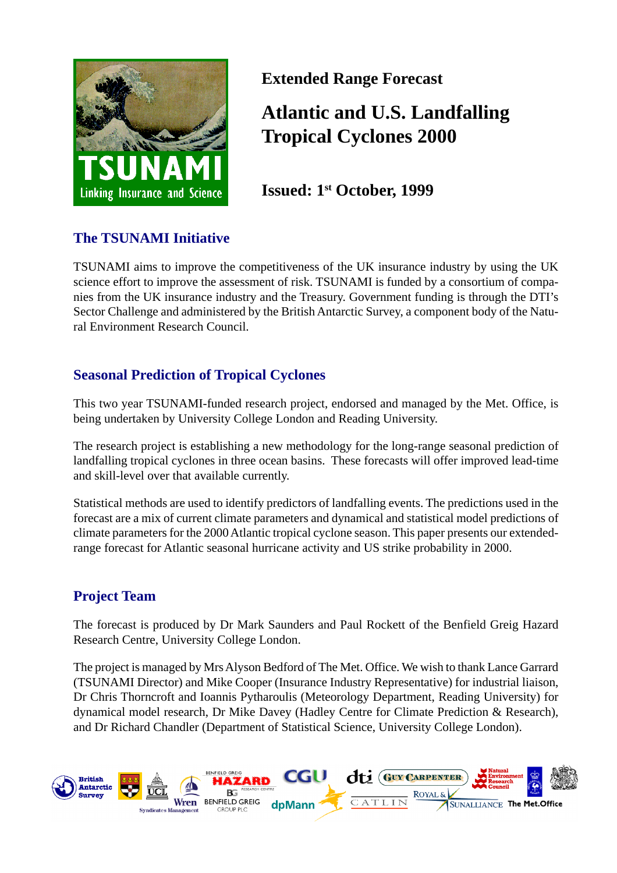

**Extended Range Forecast**

## **Atlantic and U.S. Landfalling Tropical Cyclones 2000**

**Issued: 1st October, 1999**

### **The TSUNAMI Initiative**

TSUNAMI aims to improve the competitiveness of the UK insurance industry by using the UK science effort to improve the assessment of risk. TSUNAMI is funded by a consortium of companies from the UK insurance industry and the Treasury. Government funding is through the DTI's Sector Challenge and administered by the British Antarctic Survey, a component body of the Natural Environment Research Council.

### **Seasonal Prediction of Tropical Cyclones**

This two year TSUNAMI-funded research project, endorsed and managed by the Met. Office, is being undertaken by University College London and Reading University.

The research project is establishing a new methodology for the long-range seasonal prediction of landfalling tropical cyclones in three ocean basins. These forecasts will offer improved lead-time and skill-level over that available currently.

Statistical methods are used to identify predictors of landfalling events. The predictions used in the forecast are a mix of current climate parameters and dynamical and statistical model predictions of climate parameters for the 2000 Atlantic tropical cyclone season. This paper presents our extendedrange forecast for Atlantic seasonal hurricane activity and US strike probability in 2000.

### **Project Team**

The forecast is produced by Dr Mark Saunders and Paul Rockett of the Benfield Greig Hazard Research Centre, University College London.

The project is managed by Mrs Alyson Bedford of The Met. Office. We wish to thank Lance Garrard (TSUNAMI Director) and Mike Cooper (Insurance Industry Representative) for industrial liaison, Dr Chris Thorncroft and Ioannis Pytharoulis (Meteorology Department, Reading University) for dynamical model research, Dr Mike Davey (Hadley Centre for Climate Prediction & Research), and Dr Richard Chandler (Department of Statistical Science, University College London).

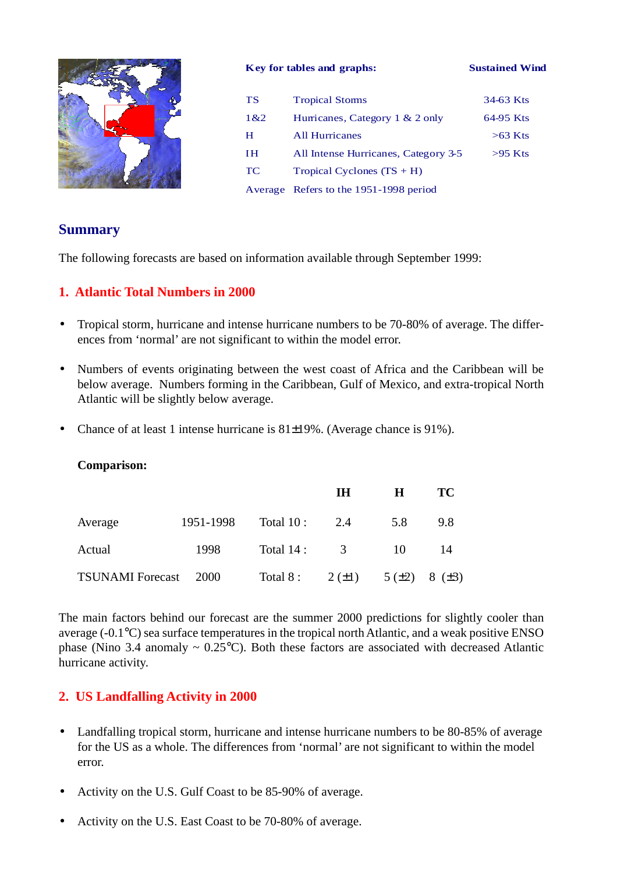

#### **Key for tables and graphs: Sustained Wind**

| <b>TS</b> | <b>Tropical Storms</b>                 | 34-63 Kts |
|-----------|----------------------------------------|-----------|
| 1&2       | Hurricanes, Category $1 \& 2$ only     | 64-95 Kts |
| н         | <b>All Hurricanes</b>                  | $>63$ Kts |
| ſН        | All Intense Hurricanes, Category 3-5   | $>95$ Kts |
| <b>TC</b> | Tropical Cyclones $(TS + H)$           |           |
|           | Average Refers to the 1951-1998 period |           |

### **Summary**

The following forecasts are based on information available through September 1999:

### **1. Atlantic Total Numbers in 2000**

- Tropical storm, hurricane and intense hurricane numbers to be 70-80% of average. The differences from 'normal' are not significant to within the model error.
- Numbers of events originating between the west coast of Africa and the Caribbean will be below average. Numbers forming in the Caribbean, Gulf of Mexico, and extra-tropical North Atlantic will be slightly below average.
- Chance of at least 1 intense hurricane is 81±19%. (Average chance is 91%).

| <b>Comparison:</b> |
|--------------------|

|                         |             |                                               | <b>IH</b> | н   | TC  |
|-------------------------|-------------|-----------------------------------------------|-----------|-----|-----|
| Average                 | 1951-1998   | Total $10: 2.4$                               |           | 5.8 | 9.8 |
| Actual                  | 1998        | Total $14:3$                                  |           | 10  | -14 |
| <b>TSUNAMI</b> Forecast | <b>2000</b> | Total 8: $2(\pm 1)$ 5( $\pm 2$ ) 8( $\pm 3$ ) |           |     |     |

The main factors behind our forecast are the summer 2000 predictions for slightly cooler than average (-0.1°C) sea surface temperatures in the tropical north Atlantic, and a weak positive ENSO phase (Nino 3.4 anomaly  $\sim 0.25^{\circ}$ C). Both these factors are associated with decreased Atlantic hurricane activity.

### **2. US Landfalling Activity in 2000**

- Landfalling tropical storm, hurricane and intense hurricane numbers to be 80-85% of average for the US as a whole. The differences from 'normal' are not significant to within the model error.
- Activity on the U.S. Gulf Coast to be 85-90% of average.
- Activity on the U.S. East Coast to be 70-80% of average.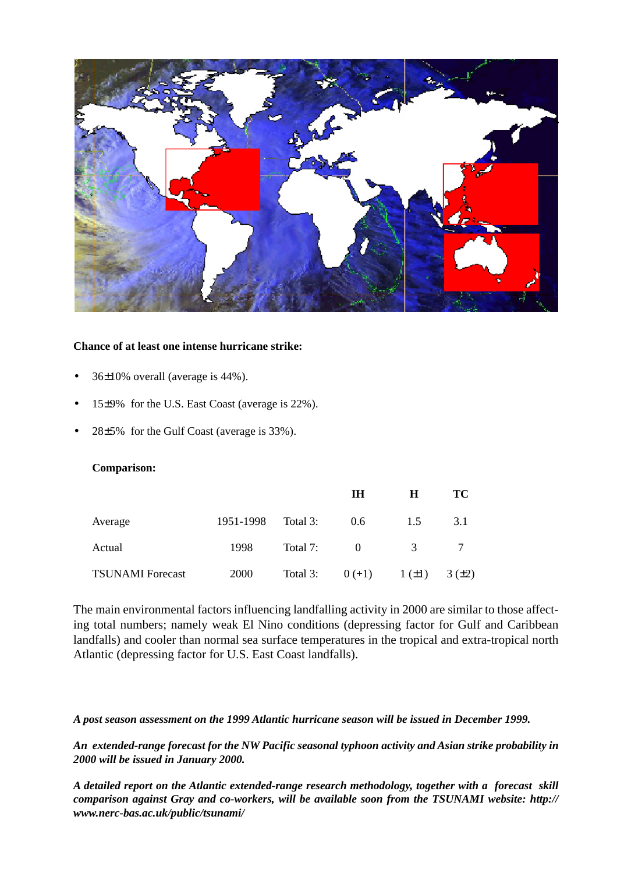

#### **Chance of at least one intense hurricane strike:**

- $36\pm10\%$  overall (average is 44%).
- 15±9% for the U.S. East Coast (average is 22%).
- 28±5% for the Gulf Coast (average is 33%).

#### **Comparison:**

|                         |             |          | IН       | Н             | TС    |
|-------------------------|-------------|----------|----------|---------------|-------|
| Average                 | 1951-1998   | Total 3: | 0.6      | 1.5           | 3.1   |
| Actual                  | 1998        | Total 7: | $\theta$ | $\mathcal{R}$ |       |
| <b>TSUNAMI</b> Forecast | <b>2000</b> | Total 3: | $0 (+1)$ | $1(\pm 1)$    | 3(±2) |

The main environmental factors influencing landfalling activity in 2000 are similar to those affecting total numbers; namely weak El Nino conditions (depressing factor for Gulf and Caribbean landfalls) and cooler than normal sea surface temperatures in the tropical and extra-tropical north Atlantic (depressing factor for U.S. East Coast landfalls).

#### *A post season assessment on the 1999 Atlantic hurricane season will be issued in December 1999.*

*An extended-range forecast for the NW Pacific seasonal typhoon activity and Asian strike probability in 2000 will be issued in January 2000.*

*A detailed report on the Atlantic extended-range research methodology, together with a forecast skill comparison against Gray and co-workers, will be available soon from the TSUNAMI website: http:// www.nerc-bas.ac.uk/public/tsunami/*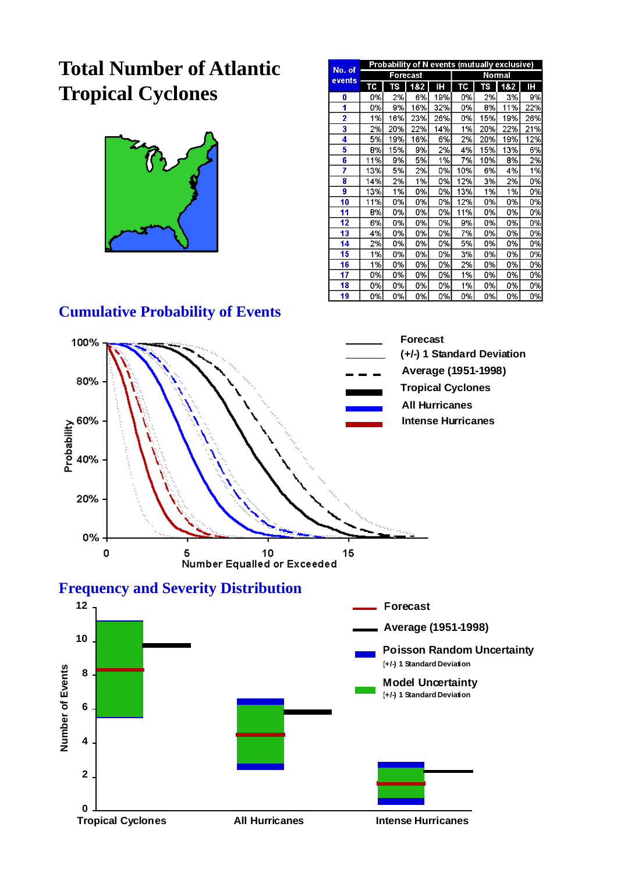# **Total Number of Atlantic Tropical Cyclones**



|                  | Probability of N events (mutually exclusive) |     |          |           |               |     |     |     |  |  |
|------------------|----------------------------------------------|-----|----------|-----------|---------------|-----|-----|-----|--|--|
| No. of<br>events |                                              |     | Forecast |           | <b>Normal</b> |     |     |     |  |  |
|                  | тс                                           | TS  | 182      | Н         | TC            | 75  | 182 | ΙH  |  |  |
| 0                | 0%                                           | 2%  | 6%       | 19%       | 0%            | 2%  | 3%  | 9%  |  |  |
| 1                | 0%                                           | 9%  | 16%      | 32%       | 0%            | 8%  | 11% | 22% |  |  |
| 2                | 1%                                           | 16% | 23%      | 26%       | 0%            | 15% | 19% | 26% |  |  |
| 3                | 2%                                           | 20% | 22%      | 14%       | 1%            | 20% | 22% | 21% |  |  |
| 4                | 5%                                           | 19% | 16%      | 6%        | 2%            | 20% | 19% | 12% |  |  |
| 5                | 8%                                           | 15% | 9%       | 2%        | 4%            | 15% | 13% | 6%  |  |  |
| 6                | 11%                                          | 9%  | 5%       | 1%        | 7%            | 10% | 8%  | 2%  |  |  |
| 7                | 13%                                          | 5%  | 2%       | 0%        | 10%           | 6%  | 4%  | 1%  |  |  |
| 8                | 14%                                          | 2%  | 1%       | 0%        | 12%           | 3%  | 2%  | 0%  |  |  |
| 9                | 13%                                          | 1%  | 0%       | 0%        | 13%           | 1%  | 1%  | 0%  |  |  |
| 10               | 11%                                          | 0%  | 0%       | 0%        | 12%           | 0%  | 0%  | 0%  |  |  |
| 11               | 8%                                           | 0%  | 0%       | 0%        | 11%           | 0%  | 0%  | 0%  |  |  |
| 12               | 6%                                           | 0%  | 0%       | 0%        | 9%            | 0%  | 0%  | 0%  |  |  |
| 13               | 4%                                           | 0%  | 0%       | 0%        | 7%            | 0%  | 0%  | 0%  |  |  |
| 14               | 2%                                           | 0%  | 0%       | <b>0%</b> | 5%            | 0%  | 0%  | 0%  |  |  |
| 15               | 1%                                           | 0%  | 0%       | 0%        | 3%            | 0%  | 0%  | 0%  |  |  |
| 16               | 1%                                           | 0%  | 0%       | 0%        | 2%            | 0%  | 0%  | 0%  |  |  |
| 17               | 0%                                           | 0%  | 0%       | 0%        | 1%            | 0%  | 0%  | 0%  |  |  |
| 18               | 0%                                           | 0%  | 0%       | 0%        | 1%            | 0%  | 0%  | 0%  |  |  |
| 19               | 0%                                           | 0%  | 0%       | 0%        | 0%            | 0%  | 0%  | 0%l |  |  |

## **Cumulative Probability of Events**

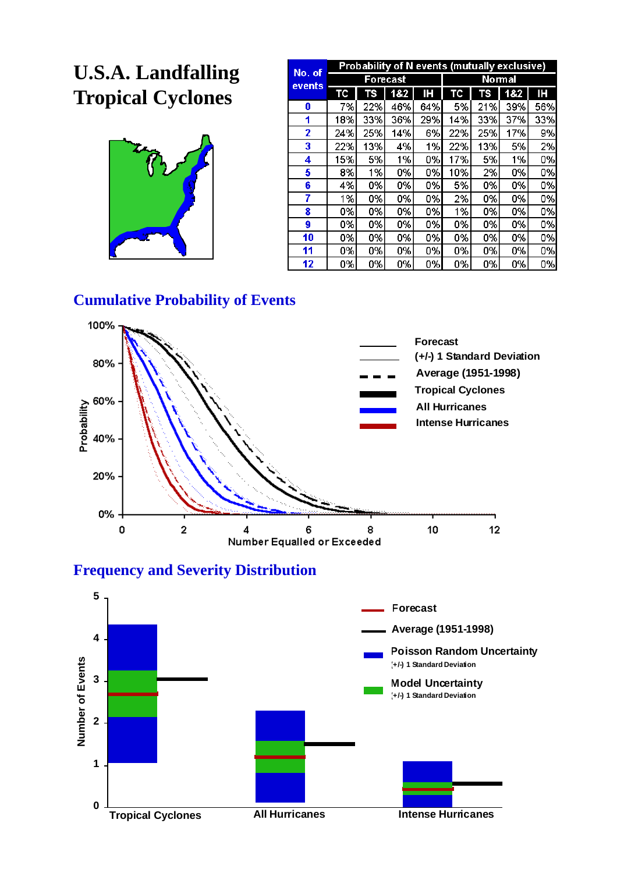# **U.S.A. Landfalling Tropical Cyclones**



| No. of | <b>Probability of N events (mutually exclusive)</b> |          |     |     |     |               |     |     |  |  |
|--------|-----------------------------------------------------|----------|-----|-----|-----|---------------|-----|-----|--|--|
| events |                                                     | Forecast |     |     |     | <b>Normal</b> |     |     |  |  |
|        | TC                                                  | TS       | 182 | Н   | TC  | TS            | 182 | ΙH  |  |  |
| 0      | 7%                                                  | 22%      | 46% | 64% | 5%  | 21%           | 39% | 56% |  |  |
| 1      | 18%                                                 | 33%      | 36% | 29% | 14% | 33%           | 37% | 33% |  |  |
| 2      | 24%                                                 | 25%      | 14% | 6%  | 22% | 25%           | 17% | 9%  |  |  |
| 3      | 22%                                                 | 13%      | 4%  | 1%  | 22% | 13%           | 5%  | 2%  |  |  |
| 4      | 15%                                                 | 5%       | 1%  | 0%  | 17% | 5%            | 1%  | 0%  |  |  |
| 5      | 8%                                                  | 1%       | 0%  | 0%  | 10% | 2%            | 0%  | 0%  |  |  |
| 6      | 4%                                                  | 0%       | 0%  | 0%  | 5%  | 0%            | 0%  | 0%  |  |  |
| 7      | 1%                                                  | 0%       | 0%  | 0%  | 2%  | 0%            | 0%  | 0%  |  |  |
| 8      | 0%                                                  | 0%       | 0%  | 0%  | 1%  | 0%            | 0%  | 0%  |  |  |
| 9      | 0%                                                  | 0%       | 0%  | 0%  | 0%  | 0%            | 0%  | 0%  |  |  |
| 10     | 0%                                                  | 0%       | 0%  | 0%  | 0%  | 0%            | 0%  | 0%  |  |  |
| 11     | 0%                                                  | 0%       | 0%  | 0%  | 0%  | 0%            | 0%  | 0%  |  |  |
| 12     | 0%                                                  | 0%       | 0%  | 0%  | 0%  | 0%            | 0%  | 0%  |  |  |

## **Cumulative Probability of Events**



**Frequency and Severity Distribution**

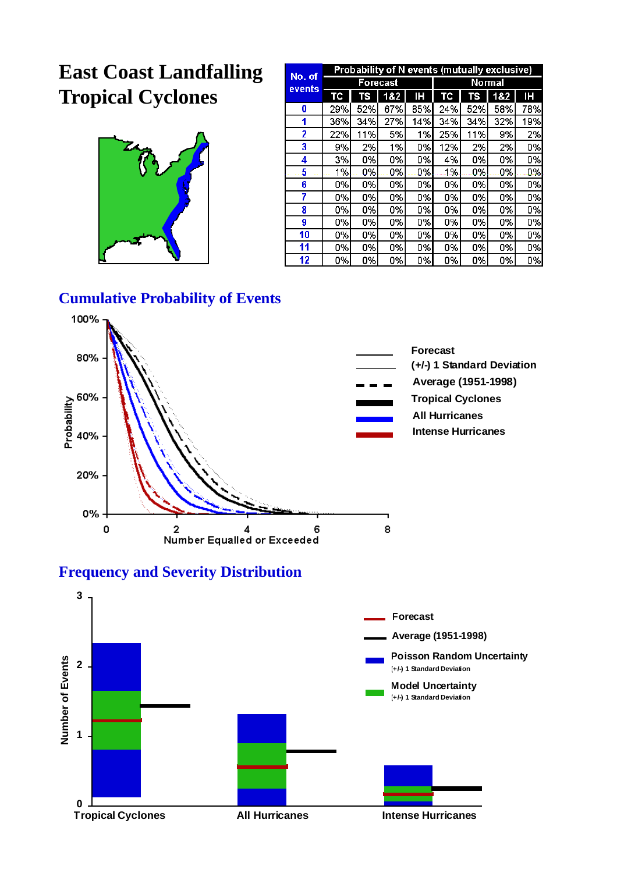## **East Coast Landfalling Tropical Cyclones**



| No. of | <b>Probability of N events (mutually exclusive)</b> |          |     |     |     |               |     |      |  |  |
|--------|-----------------------------------------------------|----------|-----|-----|-----|---------------|-----|------|--|--|
| events |                                                     | Forecast |     |     |     | <b>Normal</b> |     |      |  |  |
|        | ТC                                                  | TS       | 182 | Н   | TC  | TS            | 182 | Æ    |  |  |
| 0      | 29%                                                 | 52%      | 67% | 85% | 24% | 52%           | 58% | 78%l |  |  |
| 1      | 36%                                                 | 34%      | 27% | 14% | 34% | 34%           | 32% | 19%  |  |  |
| 2      | 22%                                                 | 11%      | 5%  | 1%  | 25% | 11%           | 9%  | 2%   |  |  |
| 3      | 9%                                                  | 2%       | 1%  | 0%  | 12% | 2%            | 2%  | 0%   |  |  |
| 4      | 3%                                                  | 0%       | 0%  | 0%  | 4%  | 0%            | 0%  | 0%   |  |  |
| 5      | 1%                                                  | 0%       | 0%  | 0%  | 1%  | 0%            | 0%  | 0%   |  |  |
| 6      | 0%                                                  | 0%       | 0%  | 0%  | 0%  | 0%            | 0%  | 0%   |  |  |
| 7      | 0%                                                  | 0%       | 0%  | 0%  | 0%  | 0%            | 0%  | 0%   |  |  |
| 8      | 0%                                                  | 0%       | 0%  | 0%  | 0%  | 0%            | 0%  | 0%   |  |  |
| 9      | 0%                                                  | 0%       | 0%  | 0%  | 0%  | 0%            | 0%  | 0%   |  |  |
| 10     | 0%                                                  | 0%       | 0%  | 0%  | 0%  | 0%            | 0%  | 0%   |  |  |
| 11     | 0%                                                  | 0%       | 0%  | 0%  | 0%  | 0%            | 0%  | 0%   |  |  |
| 12     | 0%                                                  | 0%       | 0%  | 0%  | 0%  | 0%            | 0%  | 0%   |  |  |

### **Cumulative Probability of Events**



### **Frequency and Severity Distribution**